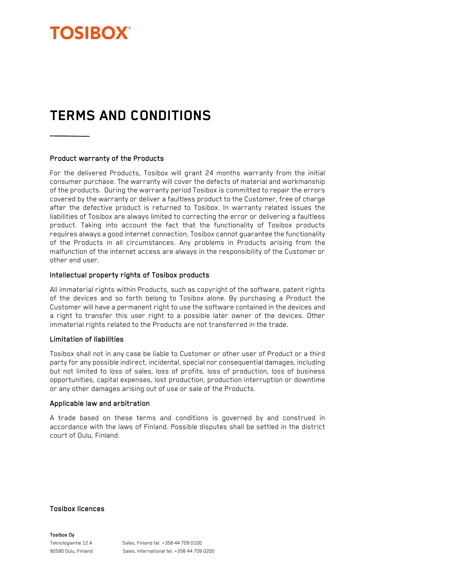

# **TERMS AND CONDITIONS**

## Product warranty of the Products

For the delivered Products, Tosibox will grant 24 months warranty from the initial consumer purchase. The warranty will cover the defects of material and workmanship of the products. During the warranty period Tosibox is committed to repair the errors covered by the warranty or deliver a faultless product to the Customer, free of charge after the defective product is returned to Tosibox. In warranty related issues the liabilities of Tosibox are always limited to correcting the error or delivering a faultless product. Taking into account the fact that the functionality of Tosibox products requires always a good internet connection, Tosibox cannot guarantee the functionality of the Products in all circumstances. Any problems in Products arising from the malfunction of the internet access are always in the responsibility of the Customer or other end user.

# Intellectual property rights of Tosibox products

All immaterial rights within Products, such as copyright of the software, patent rights of the devices and so forth belong to Tosibox alone. By purchasing a Product the Customer will have a permanent right to use the software contained in the devices and a right to transfer this user right to a possible later owner of the devices. Other immaterial rights related to the Products are not transferred in the trade.

#### Limitation of liabilities

Tosibox shall not in any case be liable to Customer or other user of Product or a third party for any possible indirect, incidental, special nor consequential damages, including but not limited to loss of sales, loss of profits, loss of production, loss of business opportunities, capital expenses, lost production, production interruption or downtime or any other damages arising out of use or sale of the Products.

#### Applicable law and arbitration

A trade based on these terms and conditions is governed by and construed in accordance with the laws of Finland. Possible disputes shall be settled in the district court of Oulu, Finland.

## Tosibox licences

Tosibox Oy

Teknologiantie 12 A Sales, Finland tel. +358 44 709 0100 90590 Oulu, Finland Sales, International tel. +358 44 709 0200